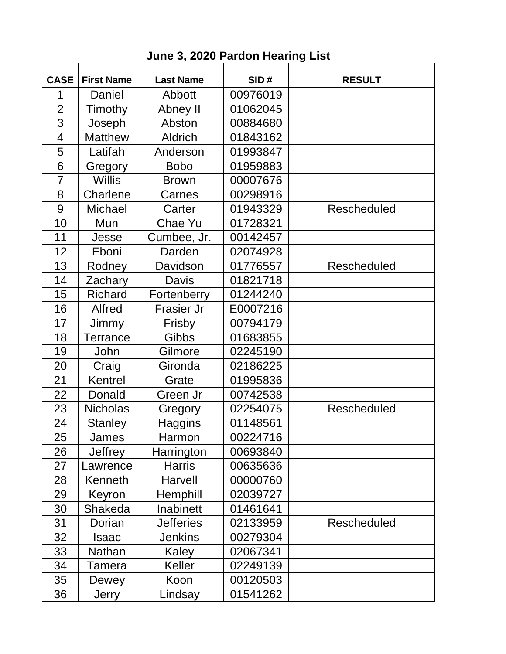## **June 3, 2020 Pardon Hearing List**

| <b>CASE</b>    | <b>First Name</b> | <b>Last Name</b> | SID#     | <b>RESULT</b>      |
|----------------|-------------------|------------------|----------|--------------------|
| 1              | Daniel            | Abbott           | 00976019 |                    |
| $\overline{2}$ | Timothy           | Abney II         | 01062045 |                    |
| 3              | Joseph            | Abston           | 00884680 |                    |
| $\overline{4}$ | <b>Matthew</b>    | <b>Aldrich</b>   | 01843162 |                    |
| 5              | Latifah           | Anderson         | 01993847 |                    |
| 6              | Gregory           | <b>Bobo</b>      | 01959883 |                    |
| $\overline{7}$ | <b>Willis</b>     | <b>Brown</b>     | 00007676 |                    |
| 8              | Charlene          | Carnes           | 00298916 |                    |
| 9              | Michael           | Carter           | 01943329 | <b>Rescheduled</b> |
| 10             | Mun               | Chae Yu          | 01728321 |                    |
| 11             | Jesse             | Cumbee, Jr.      | 00142457 |                    |
| 12             | Eboni             | Darden           | 02074928 |                    |
| 13             | Rodney            | Davidson         | 01776557 | <b>Rescheduled</b> |
| 14             | Zachary           | <b>Davis</b>     | 01821718 |                    |
| 15             | Richard           | Fortenberry      | 01244240 |                    |
| 16             | Alfred            | Frasier Jr       | E0007216 |                    |
| 17             | Jimmy             | Frisby           | 00794179 |                    |
| 18             | <b>Terrance</b>   | Gibbs            | 01683855 |                    |
| 19             | John              | Gilmore          | 02245190 |                    |
| 20             | Craig             | Gironda          | 02186225 |                    |
| 21             | Kentrel           | Grate            | 01995836 |                    |
| 22             | Donald            | Green Jr         | 00742538 |                    |
| 23             | <b>Nicholas</b>   | Gregory          | 02254075 | <b>Rescheduled</b> |
| 24             | <b>Stanley</b>    | Haggins          | 01148561 |                    |
| 25             | James             | Harmon           | 00224716 |                    |
| 26             | <b>Jeffrey</b>    | Harrington       | 00693840 |                    |
| 27             | Lawrence          | <b>Harris</b>    | 00635636 |                    |
| 28             | Kenneth           | Harvell          | 00000760 |                    |
| 29             | Keyron            | Hemphill         | 02039727 |                    |
| 30             | Shakeda           | Inabinett        | 01461641 |                    |
| 31             | Dorian            | <b>Jefferies</b> | 02133959 | Rescheduled        |
| 32             | Isaac             | <b>Jenkins</b>   | 00279304 |                    |
| 33             | Nathan            | Kaley            | 02067341 |                    |
| 34             | Tamera            | Keller           | 02249139 |                    |
| 35             | Dewey             | Koon             | 00120503 |                    |
| 36             | Jerry             | Lindsay          | 01541262 |                    |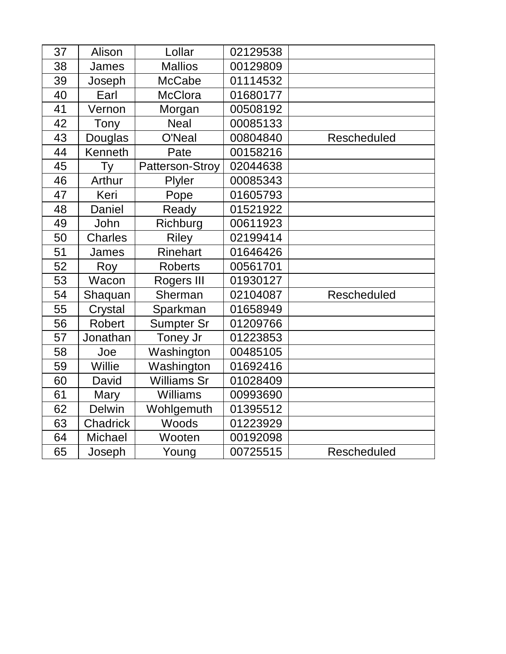| 37 | Alison         | Lollar             | 02129538 |                    |
|----|----------------|--------------------|----------|--------------------|
| 38 | James          | <b>Mallios</b>     | 00129809 |                    |
| 39 | Joseph         | <b>McCabe</b>      | 01114532 |                    |
| 40 | Earl           | <b>McClora</b>     | 01680177 |                    |
| 41 | Vernon         | Morgan             | 00508192 |                    |
| 42 | Tony           | <b>Neal</b>        | 00085133 |                    |
| 43 | Douglas        | O'Neal             | 00804840 | <b>Rescheduled</b> |
| 44 | Kenneth        | Pate               | 00158216 |                    |
| 45 | Ty             | Patterson-Stroy    | 02044638 |                    |
| 46 | Arthur         | Plyler             | 00085343 |                    |
| 47 | Keri           | Pope               | 01605793 |                    |
| 48 | Daniel         | Ready              | 01521922 |                    |
| 49 | John           | Richburg           | 00611923 |                    |
| 50 | <b>Charles</b> | <b>Riley</b>       | 02199414 |                    |
| 51 | James          | Rinehart           | 01646426 |                    |
| 52 | Roy            | <b>Roberts</b>     | 00561701 |                    |
| 53 | Wacon          | Rogers III         | 01930127 |                    |
| 54 | Shaquan        | Sherman            | 02104087 | <b>Rescheduled</b> |
| 55 | Crystal        | Sparkman           | 01658949 |                    |
| 56 | Robert         | <b>Sumpter Sr</b>  | 01209766 |                    |
| 57 | Jonathan       | Toney Jr           | 01223853 |                    |
| 58 | Joe            | Washington         | 00485105 |                    |
| 59 | Willie         | Washington         | 01692416 |                    |
| 60 | David          | <b>Williams Sr</b> | 01028409 |                    |
| 61 | Mary           | <b>Williams</b>    | 00993690 |                    |
| 62 | <b>Delwin</b>  | Wohlgemuth         | 01395512 |                    |
| 63 | Chadrick       | Woods              | 01223929 |                    |
| 64 | Michael        | Wooten             | 00192098 |                    |
| 65 | Joseph         | Young              | 00725515 | <b>Rescheduled</b> |